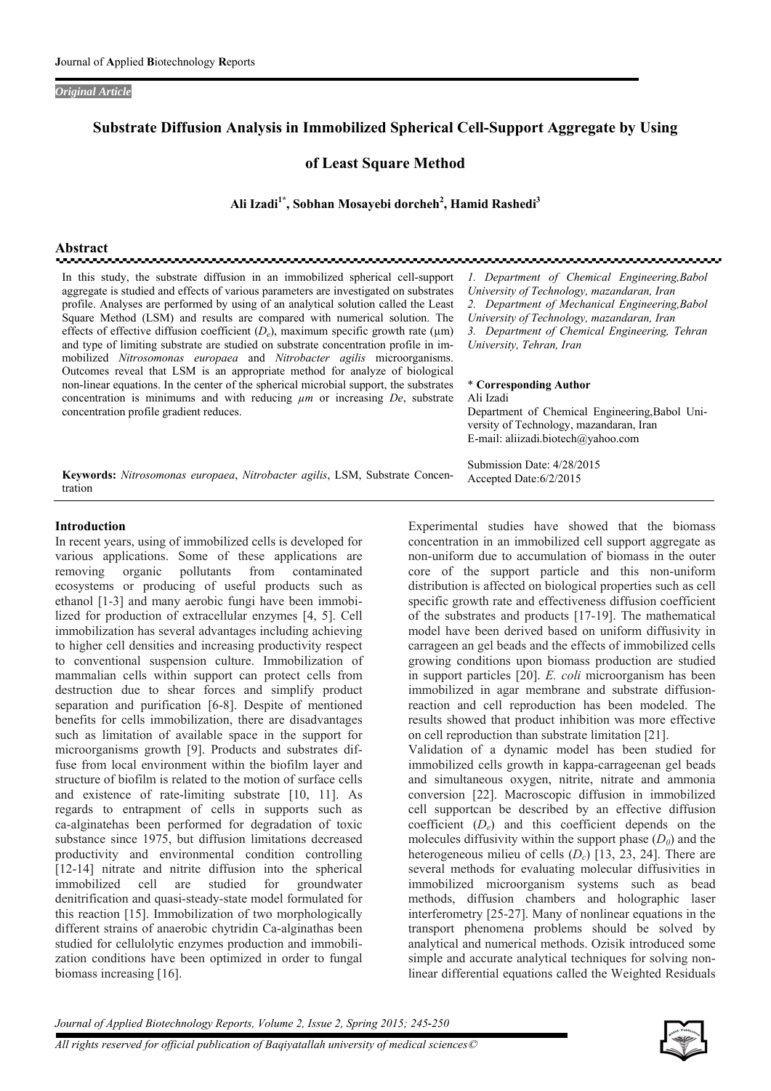*Original Article* 

# **Substrate Diffusion Analysis in Immobilized Spherical Cell-Support Aggregate by Using**

**of Least Square Method** 

Ali Izadi<sup>1\*</sup>, Sobhan Mosayebi dorcheh<sup>2</sup>, Hamid Rashedi<sup>3</sup>

**Abstract** 

In this study, the substrate diffusion in an immobilized spherical cell-support aggregate is studied and effects of various parameters are investigated on substrates profile. Analyses are performed by using of an analytical solution called the Least Square Method (LSM) and results are compared with numerical solution. The effects of effective diffusion coefficient  $(D_e)$ , maximum specific growth rate ( $\mu$ m) and type of limiting substrate are studied on substrate concentration profile in immobilized *Nitrosomonas europaea* and *Nitrobacter agilis* microorganisms. Outcomes reveal that LSM is an appropriate method for analyze of biological non-linear equations. In the center of the spherical microbial support, the substrates concentration is minimums and with reducing *µm* or increasing *De*, substrate concentration profile gradient reduces.

*1. Department of Chemical Engineering,Babol University of Technology, mazandaran, Iran 2. Department of Mechanical Engineering,Babol University of Technology, mazandaran, Iran 3. Department of Chemical Engineering, Tehran University, Tehran, Iran* 

#### \* **Corresponding Author**  Ali Izadi

Submission Date: 4/28/2015 Accepted Date:6/2/2015

Department of Chemical Engineering,Babol University of Technology, mazandaran, Iran E-mail: aliizadi.biotech@yahoo.com

**Keywords:** *Nitrosomonas europaea*, *Nitrobacter agilis*, LSM, Substrate Concentration

### **Introduction**

In recent years, using of immobilized cells is developed for various applications. Some of these applications are removing organic pollutants from contaminated ecosystems or producing of useful products such as ethanol [1-3] and many aerobic fungi have been immobilized for production of extracellular enzymes [4, 5]. Cell immobilization has several advantages including achieving to higher cell densities and increasing productivity respect to conventional suspension culture. Immobilization of mammalian cells within support can protect cells from destruction due to shear forces and simplify product separation and purification [6-8]. Despite of mentioned benefits for cells immobilization, there are disadvantages such as limitation of available space in the support for microorganisms growth [9]. Products and substrates diffuse from local environment within the biofilm layer and structure of biofilm is related to the motion of surface cells and existence of rate-limiting substrate [10, 11]. As regards to entrapment of cells in supports such as ca-alginatehas been performed for degradation of toxic substance since 1975, but diffusion limitations decreased productivity and environmental condition controlling [12-14] nitrate and nitrite diffusion into the spherical immobilized cell are studied for groundwater denitrification and quasi-steady-state model formulated for this reaction [15]. Immobilization of two morphologically different strains of anaerobic chytridin Ca-alginathas been studied for cellulolytic enzymes production and immobilization conditions have been optimized in order to fungal biomass increasing [16].

Experimental studies have showed that the biomass concentration in an immobilized cell support aggregate as non-uniform due to accumulation of biomass in the outer core of the support particle and this non-uniform distribution is affected on biological properties such as cell specific growth rate and effectiveness diffusion coefficient of the substrates and products [17-19]. The mathematical model have been derived based on uniform diffusivity in carrageen an gel beads and the effects of immobilized cells growing conditions upon biomass production are studied in support particles [20]. *E. coli* microorganism has been immobilized in agar membrane and substrate diffusionreaction and cell reproduction has been modeled. The results showed that product inhibition was more effective on cell reproduction than substrate limitation [21].

Validation of a dynamic model has been studied for immobilized cells growth in kappa-carrageenan gel beads and simultaneous oxygen, nitrite, nitrate and ammonia conversion [22]. Macroscopic diffusion in immobilized cell supportcan be described by an effective diffusion coefficient (*De*) and this coefficient depends on the molecules diffusivity within the support phase  $(D_0)$  and the heterogeneous milieu of cells (*D<sub>c</sub>*) [13, 23, 24]. There are several methods for evaluating molecular diffusivities in immobilized microorganism systems such as bead methods, diffusion chambers and holographic laser interferometry [25-27]. Many of nonlinear equations in the transport phenomena problems should be solved by analytical and numerical methods. Ozisik introduced some simple and accurate analytical techniques for solving nonlinear differential equations called the Weighted Residuals

*Journal of Applied Biotechnology Reports, Volume 2, Issue 2, Spring 2015; 245-250*

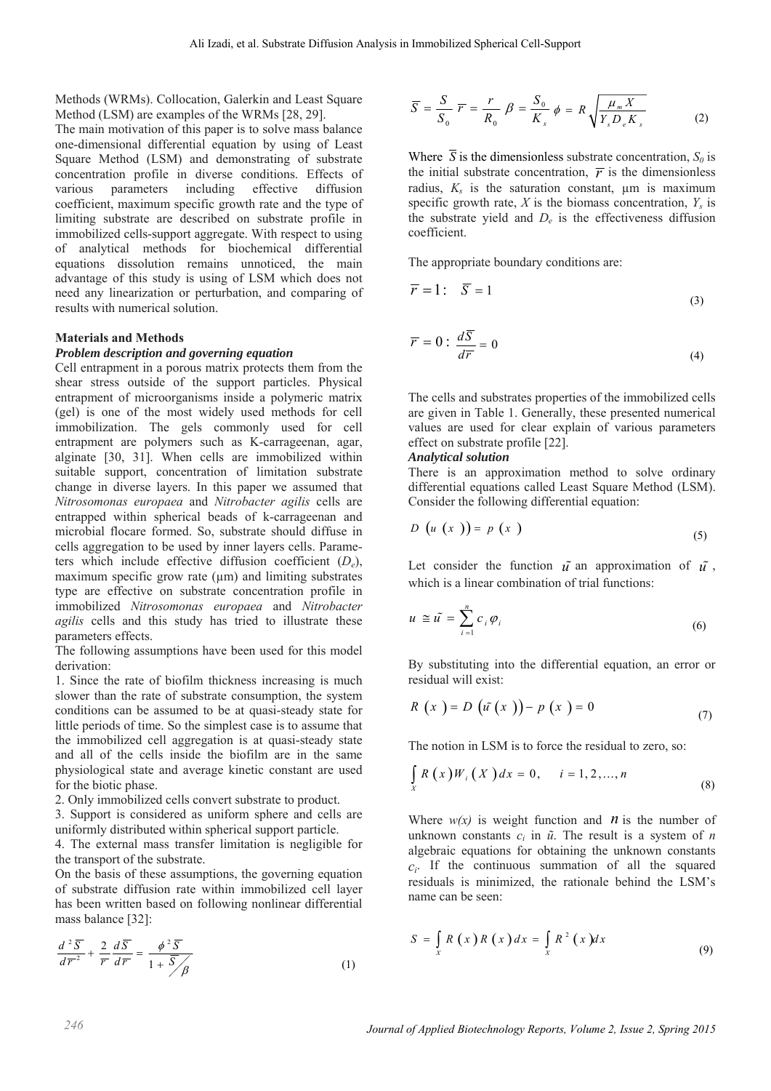Methods (WRMs). Collocation, Galerkin and Least Square Method (LSM) are examples of the WRMs [28, 29].

The main motivation of this paper is to solve mass balance one-dimensional differential equation by using of Least Square Method (LSM) and demonstrating of substrate concentration profile in diverse conditions. Effects of various parameters including effective diffusion coefficient, maximum specific growth rate and the type of limiting substrate are described on substrate profile in immobilized cells-support aggregate. With respect to using of analytical methods for biochemical differential equations dissolution remains unnoticed, the main advantage of this study is using of LSM which does not need any linearization or perturbation, and comparing of results with numerical solution.

### **Materials and Methods**

## *Problem description and governing equation*

Cell entrapment in a porous matrix protects them from the shear stress outside of the support particles. Physical entrapment of microorganisms inside a polymeric matrix (gel) is one of the most widely used methods for cell immobilization. The gels commonly used for cell entrapment are polymers such as K-carrageenan, agar, alginate [30, 31]. When cells are immobilized within suitable support, concentration of limitation substrate change in diverse layers. In this paper we assumed that *Nitrosomonas europaea* and *Nitrobacter agilis* cells are entrapped within spherical beads of k-carrageenan and microbial flocare formed. So, substrate should diffuse in cells aggregation to be used by inner layers cells. Parameters which include effective diffusion coefficient (*De*), maximum specific grow rate  $(\mu m)$  and limiting substrates type are effective on substrate concentration profile in immobilized *Nitrosomonas europaea* and *Nitrobacter agilis* cells and this study has tried to illustrate these parameters effects.

The following assumptions have been used for this model derivation:

1. Since the rate of biofilm thickness increasing is much slower than the rate of substrate consumption, the system conditions can be assumed to be at quasi-steady state for little periods of time. So the simplest case is to assume that the immobilized cell aggregation is at quasi-steady state and all of the cells inside the biofilm are in the same physiological state and average kinetic constant are used for the biotic phase.

2. Only immobilized cells convert substrate to product.

3. Support is considered as uniform sphere and cells are uniformly distributed within spherical support particle.

4. The external mass transfer limitation is negligible for the transport of the substrate.

On the basis of these assumptions, the governing equation of substrate diffusion rate within immobilized cell layer has been written based on following nonlinear differential mass balance [32]:

$$
\frac{d^2\overline{S}}{d\overline{r}^2} + \frac{2}{r}\frac{d\overline{S}}{d\overline{r}} = \frac{\phi^2\overline{S}}{1 + \overline{S}/\beta}
$$
(1)

$$
\overline{S} = \frac{S}{S_0} \overline{r} = \frac{r}{R_0} \beta = \frac{S_0}{K_s} \phi = R \sqrt{\frac{\mu_m X}{Y_s D_e K_s}}
$$
(2)

Where  $\overline{S}$  is the dimensionless substrate concentration,  $S_0$  is the initial substrate concentration,  $\overline{r}$  is the dimensionless radius,  $K_s$  is the saturation constant,  $\mu$ m is maximum specific growth rate,  $X$  is the biomass concentration,  $Y_s$  is the substrate yield and *De* is the effectiveness diffusion coefficient.

The appropriate boundary conditions are:

$$
\overline{r} = 1: \quad \overline{S} = 1 \tag{3}
$$

$$
\overline{r} = 0: \frac{dS}{d\overline{r}} = 0 \tag{4}
$$

The cells and substrates properties of the immobilized cells are given in Table 1. Generally, these presented numerical values are used for clear explain of various parameters effect on substrate profile [22].

### *Analytical solution*

There is an approximation method to solve ordinary differential equations called Least Square Method (LSM). Consider the following differential equation:

$$
D\left(u\left(x\right)\right)=p\left(x\right)
$$
\n<sup>(5)</sup>

Let consider the function  $\tilde{u}$  an approximation of  $\tilde{u}$ , which is a linear combination of trial functions:

$$
u \cong \tilde{u} = \sum_{i=1}^{n} c_i \varphi_i \tag{6}
$$

By substituting into the differential equation, an error or residual will exist:

$$
R(x) = D(\tilde{u}(x)) - p(x) = 0
$$
\n(7)

The notion in LSM is to force the residual to zero, so:

$$
\int_{X} R(x) W_{i}(X) dx = 0, \quad i = 1, 2, ..., n
$$
\n(8)

Where  $w(x)$  is weight function and *n* is the number of unknown constants  $c_i$  in  $\tilde{u}$ . The result is a system of *n* algebraic equations for obtaining the unknown constants  $c_i$ . If the continuous summation of all the squared residuals is minimized, the rationale behind the LSM's name can be seen:

$$
S = \int_{X} R(x) R(x) dx = \int_{X} R^{2}(x) dx
$$
 (9)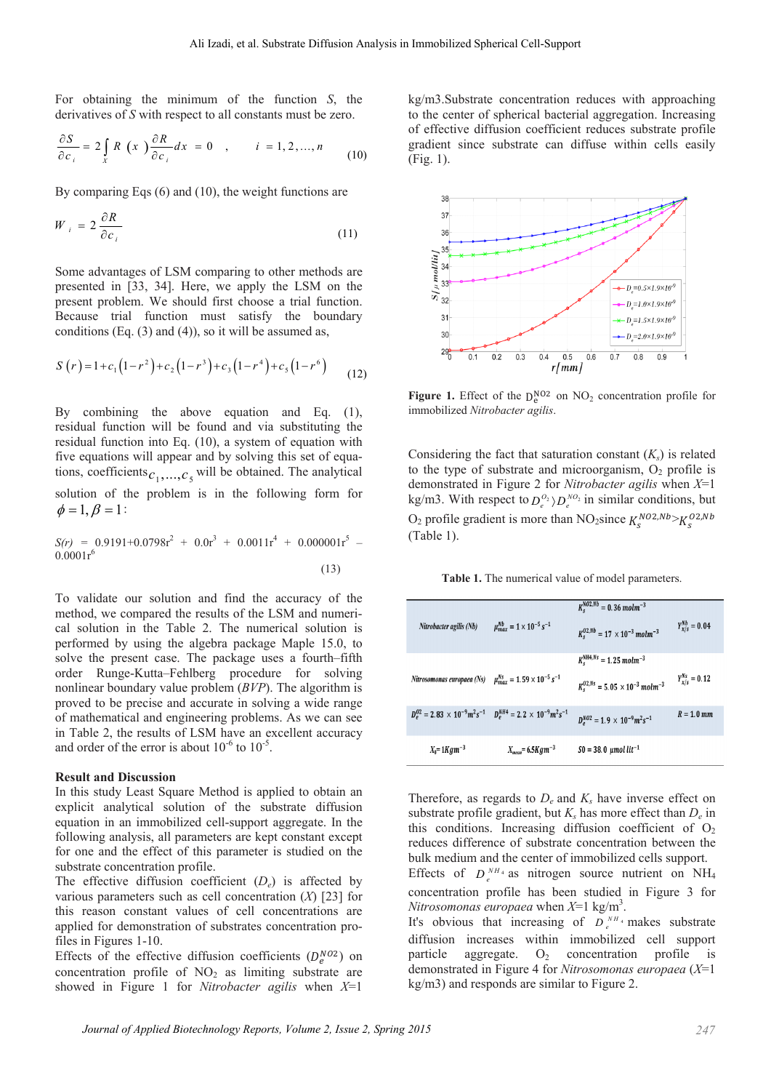For obtaining the minimum of the function *S*, the derivatives of *S* with respect to all constants must be zero.

$$
\frac{\partial S}{\partial c_i} = 2 \int\limits_X R(x) \frac{\partial R}{\partial c_i} dx = 0 \quad , \qquad i = 1, 2, ..., n \tag{10}
$$

By comparing Eqs (6) and (10), the weight functions are

$$
W_{i} = 2 \frac{\partial R}{\partial c_{i}} \tag{11}
$$

Some advantages of LSM comparing to other methods are presented in [33, 34]. Here, we apply the LSM on the present problem. We should first choose a trial function. Because trial function must satisfy the boundary conditions (Eq.  $(3)$  and  $(4)$ ), so it will be assumed as,

$$
S(r) = 1 + c_1(1 - r^2) + c_2(1 - r^3) + c_3(1 - r^4) + c_5(1 - r^6)
$$
 (12)

By combining the above equation and Eq. (1), residual function will be found and via substituting the residual function into Eq. (10), a system of equation with five equations will appear and by solving this set of equations, coefficients  $c_1, ..., c_5$  will be obtained. The analytical solution of the problem is in the following form for  $\phi = 1, \beta = 1$ :

$$
S(r) = 0.9191 + 0.0798r^{2} + 0.0r^{3} + 0.0011r^{4} + 0.000001r^{5} - 0.0001r^{6}
$$
\n(13)

To validate our solution and find the accuracy of the method, we compared the results of the LSM and numerical solution in the Table 2. The numerical solution is performed by using the algebra package Maple 15.0, to solve the present case. The package uses a fourth–fifth order Runge-Kutta–Fehlberg procedure for solving nonlinear boundary value problem (*BVP*). The algorithm is proved to be precise and accurate in solving a wide range of mathematical and engineering problems. As we can see in Table 2, the results of LSM have an excellent accuracy and order of the error is about  $10^{-6}$  to  $10^{-5}$ .

### **Result and Discussion**

In this study Least Square Method is applied to obtain an explicit analytical solution of the substrate diffusion equation in an immobilized cell-support aggregate. In the following analysis, all parameters are kept constant except for one and the effect of this parameter is studied on the substrate concentration profile.

The effective diffusion coefficient (*De*) is affected by various parameters such as cell concentration (*X*) [23] for this reason constant values of cell concentrations are applied for demonstration of substrates concentration profiles in Figures 1-10.

Effects of the effective diffusion coefficients  $(D_e^{NO2})$  on concentration profile of  $NO<sub>2</sub>$  as limiting substrate are showed in Figure 1 for *Nitrobacter agilis* when *X*=1

kg/m3.Substrate concentration reduces with approaching to the center of spherical bacterial aggregation. Increasing of effective diffusion coefficient reduces substrate profile gradient since substrate can diffuse within cells easily (Fig. 1).



**Figure 1.** Effect of the  $D_e^{NO2}$  on  $NO_2$  concentration profile for immobilized *Nitrobacter agilis*.

Considering the fact that saturation constant  $(K<sub>s</sub>)$  is related to the type of substrate and microorganism,  $O<sub>2</sub>$  profile is demonstrated in Figure 2 for *Nitrobacter agilis* when *X*=1 kg/m3. With respect to  $D_e^{O_2}$   $\rangle D_e^{NO_2}$  in similar conditions, but O<sub>2</sub> profile gradient is more than NO<sub>2</sub>since  $K_s^{NO2, Nb} > K_s^{O2, Nb}$ (Table 1).

**Table 1.** The numerical value of model parameters.

| Nitrobacter agilis (Nb)                                                                           | $\mu_{max}^{Nb} = 1 \times 10^{-5} s^{-1}$ | $K_c^{NO2,Nb} = 0.36$ molm <sup>-3</sup><br>$K_c^{02,Nb} = 17 \times 10^{-3}$ molm <sup>-3</sup>                      | $Y_{\gamma/s}^{Nb} = 0.04$ |
|---------------------------------------------------------------------------------------------------|--------------------------------------------|-----------------------------------------------------------------------------------------------------------------------|----------------------------|
| Nitrosomonas europaea (Ns) $\mu_{max}^{Ns} = 1.59 \times 10^{-5} s^{-1}$                          |                                            | $K_s^{\text{NH4,Ns}} = 1.25 \, \text{mol} \, \text{m}^{-3}$<br>$K_c^{02,Ns} = 5.05 \times 10^{-3}$ molm <sup>-3</sup> | $Y_{x/s}^{Ns} = 0.12$      |
| $D_{\rho}^{02} = 2.83 \times 10^{-9} m^2 s^{-1}$ $D_{\rho}^{NH4} = 2.2 \times 10^{-9} m^2 s^{-1}$ |                                            | $D_{e}^{NO2} = 1.9 \times 10^{-9} m^{2} s^{-1}$                                                                       | $R = 1.0$ mm               |
| $X_0 = 1Kgm^{-3}$                                                                                 | $X_{mean} = 6.5Kgm^{-3}$                   | $S0 = 38.0$ µmol lit <sup>-1</sup>                                                                                    |                            |

Therefore, as regards to  $D_e$  and  $K_s$  have inverse effect on substrate profile gradient, but  $K_s$  has more effect than  $D_e$  in this conditions. Increasing diffusion coefficient of  $O<sub>2</sub>$ reduces difference of substrate concentration between the bulk medium and the center of immobilized cells support.

Effects of  $D_{a}^{NH_{4}}$  as nitrogen source nutrient on NH<sub>4</sub> concentration profile has been studied in Figure 3 for *Nitrosomonas europaea* when  $X=1$  kg/m<sup>3</sup>.

It's obvious that increasing of  $\overline{D}_e^{NH_4}$  makes substrate diffusion increases within immobilized cell support particle aggregate.  $O_2$  concentration profile is demonstrated in Figure 4 for *Nitrosomonas europaea* (*X*=1 kg/m3) and responds are similar to Figure 2.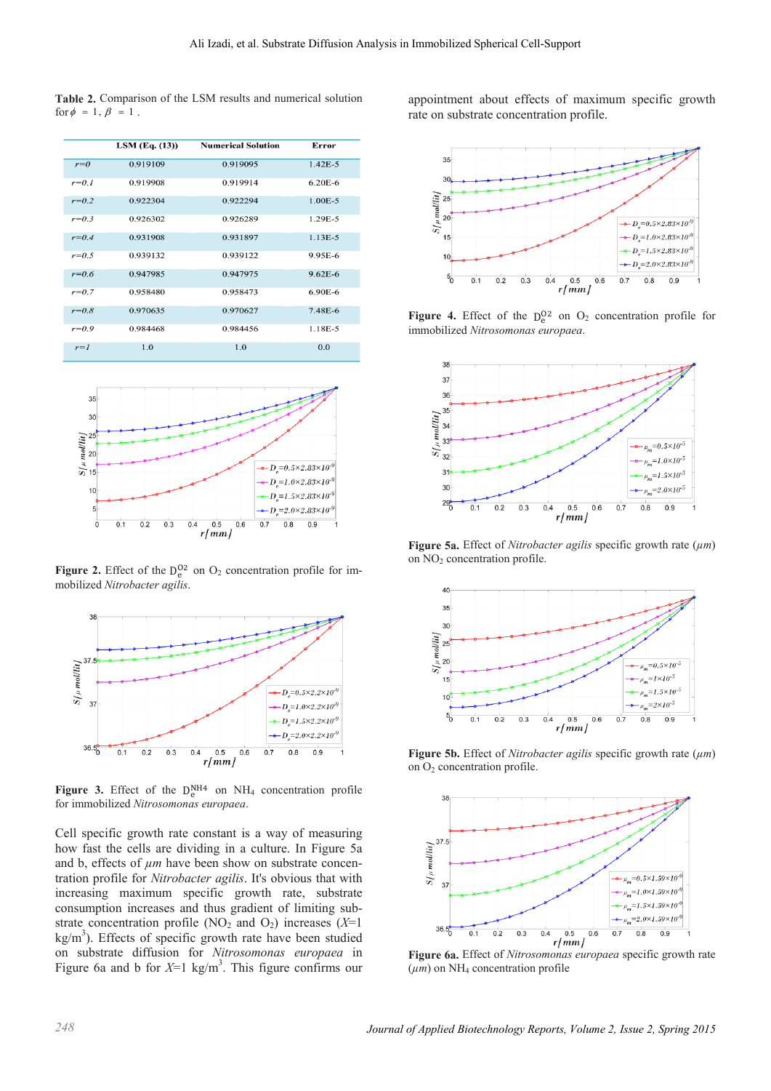**Table 2.** Comparison of the LSM results and numerical solution for  $\phi = 1$ ,  $\beta = 1$ .

|           | $LSM$ (Eq. $(13)$ ) | <b>Numerical Solution</b> | Error       |
|-----------|---------------------|---------------------------|-------------|
| $r=0$     | 0.919109            | 0.919095                  | $1.42E - 5$ |
| $r = 0.1$ | 0.919908            | 0.919914                  | $6.20E - 6$ |
| $r = 0.2$ | 0.922304            | 0.922294                  | $1.00E - 5$ |
| $r = 0.3$ | 0.926302            | 0.926289                  | 1.29E-5     |
| $r = 0.4$ | 0.931908            | 0.931897                  | $1.13E-5$   |
| $r=0.5$   | 0.939132            | 0.939122                  | 9.95E-6     |
| $r = 0.6$ | 0.947985            | 0.947975                  | $9.62E - 6$ |
| $r = 0.7$ | 0.958480            | 0.958473                  | $6.90E - 6$ |
| $r = 0.8$ | 0.970635            | 0.970627                  | 7.48E-6     |
| $r = 0.9$ | 0.984468            | 0.984456                  | 1.18E-5     |
| $r=1$     | 1.0                 | 1.0                       | 0.0         |



**Figure 2.** Effect of the  $D_e^{O2}$  on  $O_2$  concentration profile for immobilized *Nitrobacter agilis*.



Figure 3. Effect of the  $D_e^{NH4}$  on  $NH_4$  concentration profile for immobilized *Nitrosomonas europaea*.

Cell specific growth rate constant is a way of measuring how fast the cells are dividing in a culture. In Figure 5a and b, effects of  $\mu$ m have been show on substrate concentration profile for *Nitrobacter agilis*. It's obvious that with increasing maximum specific growth rate, substrate consumption increases and thus gradient of limiting substrate concentration profile (NO<sub>2</sub> and O<sub>2</sub>) increases ( $X=1$  $\text{kg/m}^3$ ). Effects of specific growth rate have been studied on substrate diffusion for *Nitrosomonas europaea* in Figure 6a and b for  $X=1$  kg/m<sup>3</sup>. This figure confirms our

appointment about effects of maximum specific growth rate on substrate concentration profile.



**Figure 4.** Effect of the  $D_e^{02}$  on  $O_2$  concentration profile for immobilized *Nitrosomonas europaea*.



**Figure 5a.** Effect of *Nitrobacter agilis* specific growth rate (*µm*) on NO2 concentration profile.



**Figure 5b.** Effect of *Nitrobacter agilis* specific growth rate (*µm*) on  $O<sub>2</sub>$  concentration profile.



**Figure 6a.** Effect of *Nitrosomonas europaea* specific growth rate  $(\mu m)$  on NH<sub>4</sub> concentration profile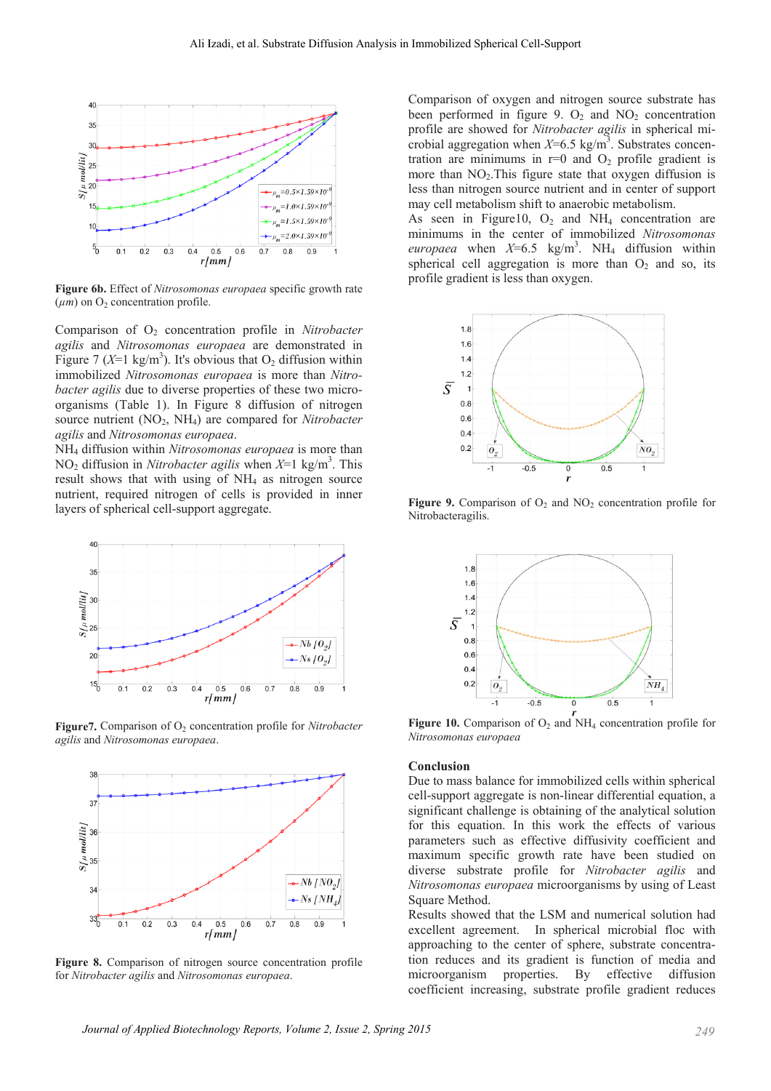

Figure 6b. Effect of Nitrosomonas europaea specific growth rate  $(\mu m)$  on O<sub>2</sub> concentration profile.

Comparison of  $O_2$  concentration profile in Nitrobacter agilis and Nitrosomonas europaea are demonstrated in Figure 7 (X=1 kg/m<sup>3</sup>). It's obvious that  $O_2$  diffusion within immobilized Nitrosomonas europaea is more than Nitro*bacter agilis* due to diverse properties of these two microorganisms (Table 1). In Figure 8 diffusion of nitrogen source nutrient  $(NO<sub>2</sub>, NH<sub>4</sub>)$  are compared for Nitrobacter agilis and Nitrosomonas europaea.

NH<sub>4</sub> diffusion within Nitrosomonas europaea is more than  $NO<sub>2</sub>$  diffusion in *Nitrobacter agilis* when  $X=1$  kg/m<sup>3</sup>. This result shows that with using of  $NH<sub>4</sub>$  as nitrogen source nutrient, required nitrogen of cells is provided in inner layers of spherical cell-support aggregate.



Figure 7. Comparison of  $O_2$  concentration profile for *Nitrobacter* agilis and Nitrosomonas europaea.



Figure 8. Comparison of nitrogen source concentration profile for Nitrobacter agilis and Nitrosomonas europaea.

Comparison of oxygen and nitrogen source substrate has been performed in figure 9.  $O_2$  and  $NO_2$  concentration profile are showed for Nitrobacter agilis in spherical microbial aggregation when  $X=6.5 \text{ kg/m}^3$ . Substrates concentration are minimums in  $r=0$  and  $O_2$  profile gradient is more than  $NO<sub>2</sub>$ . This figure state that oxygen diffusion is less than nitrogen source nutrient and in center of support may cell metabolism shift to anaerobic metabolism.

As seen in Figure 10,  $O_2$  and NH<sub>4</sub> concentration are minimums in the center of immobilized Nitrosomonas europaea when  $X=6.5$  kg/m<sup>3</sup>. NH<sub>4</sub> diffusion within spherical cell aggregation is more than  $O<sub>2</sub>$  and so, its profile gradient is less than oxygen.



Figure 9. Comparison of  $O_2$  and  $NO_2$  concentration profile for Nitrobacteragilis.



Figure 10. Comparison of  $O_2$  and NH<sub>4</sub> concentration profile for Nitrosomonas europaea

#### Conclusion

Due to mass balance for immobilized cells within spherical cell-support aggregate is non-linear differential equation, a significant challenge is obtaining of the analytical solution for this equation. In this work the effects of various parameters such as effective diffusivity coefficient and maximum specific growth rate have been studied on diverse substrate profile for Nitrobacter agilis and Nitrosomonas europaea microorganisms by using of Least Square Method.

Results showed that the LSM and numerical solution had excellent agreement. In spherical microbial floc with approaching to the center of sphere, substrate concentration reduces and its gradient is function of media and microorganism properties. By effective diffusion coefficient increasing, substrate profile gradient reduces